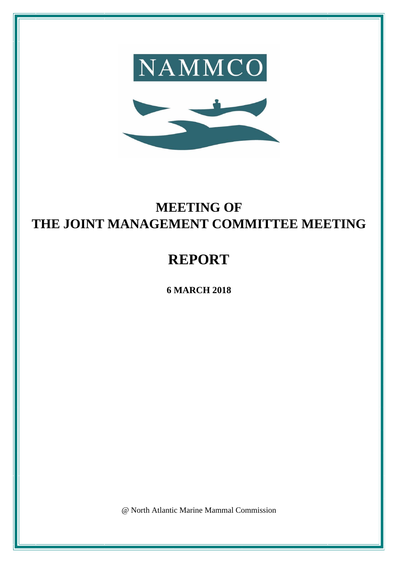



# **MEETING OF THE JOINT MANAGEMENT COMMITTEE MEETING**

# **REPORT**

**6 MARCH 2018**

@ North Atlantic Marine Mammal Commission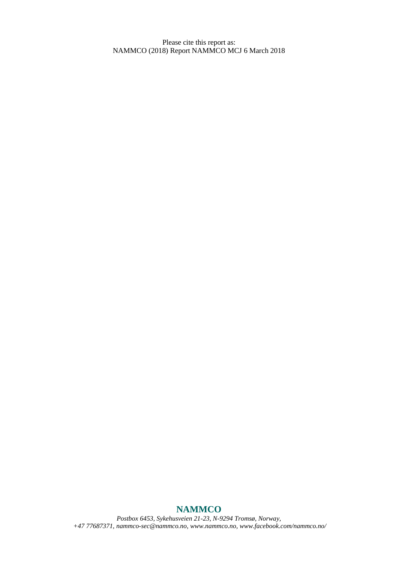Please cite this report as: NAMMCO (2018) Report NAMMCO MCJ 6 March 2018

# **NAMMCO**

*Postbox 6453, Sykehusveien 21-23, N-9294 Tromsø, Norway, +47 77687371, [nammco-sec@nammco.no,](mailto:nammco-sec@nammco.no) [www.nammco.no,](http://www.nammco.no/) [www.facebook.com/nammco.no/](http://www.facebook.com/nammco.no/)*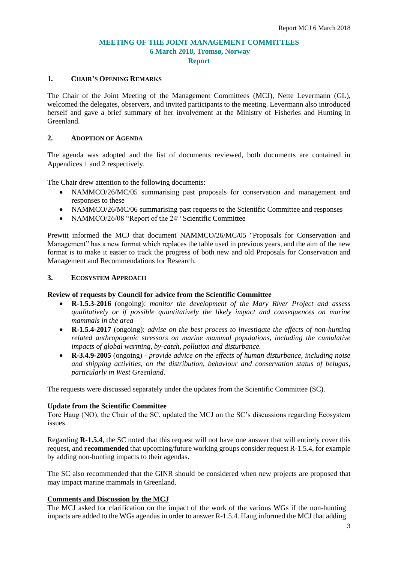# **MEETING OF THE JOINT MANAGEMENT COMMITTEES 6 March 2018, Tromsø, Norway Report**

#### **1. CHAIR'S OPENING REMARKS**

The Chair of the Joint Meeting of the Management Committees (MCJ), Nette Levermann (GL), welcomed the delegates, observers, and invited participants to the meeting. Levermann also introduced herself and gave a brief summary of her involvement at the Ministry of Fisheries and Hunting in Greenland.

#### **2. ADOPTION OF AGENDA**

The agenda was adopted and the list of documents reviewed, both documents are contained in Appendices 1 and 2 respectively.

The Chair drew attention to the following documents:

- NAMMCO/26/MC/05 summarising past proposals for conservation and management and responses to these
- NAMMCO/26/MC/06 summarising past requests to the Scientific Committee and responses
- NAMMCO/26/08 "Report of the 24<sup>th</sup> Scientific Committee

Prewitt informed the MCJ that document NAMMCO/26/MC/05 "Proposals for Conservation and Management" has a new format which replaces the table used in previous years, and the aim of the new format is to make it easier to track the progress of both new and old Proposals for Conservation and Management and Recommendations for Research.

#### **3. ECOSYSTEM APPROACH**

#### **Review of requests by Council for advice from the Scientific Committee**

- **R-1.5.3-2016** (ongoing): *monitor the development of the Mary River Project and assess qualitatively or if possible quantitatively the likely impact and consequences on marine mammals in the area*
- **R-1.5.4-2017** (ongoing): *advise on the best process to investigate the effects of non-hunting related anthropogenic stressors on marine mammal populations, including the cumulative impacts of global warming, by-catch, pollution and disturbance.*
- **R-3.4.9-2005** (ongoing) *- provide advice on the effects of human disturbance, including noise and shipping activities, on the distribution, behaviour and conservation status of belugas, particularly in West Greenland.*

The requests were discussed separately under the updates from the Scientific Committee (SC).

#### **Update from the Scientific Committee**

Tore Haug (NO), the Chair of the SC, updated the MCJ on the SC's discussions regarding Ecosystem issues.

Regarding **R-1.5.4**, the SC noted that this request will not have one answer that will entirely cover this request, and **recommended** that upcoming/future working groups consider request R-1.5.4, for example by adding non-hunting impacts to their agendas.

The SC also recommended that the GINR should be considered when new projects are proposed that may impact marine mammals in Greenland.

# **Comments and Discussion by the MCJ**

The MCJ asked for clarification on the impact of the work of the various WGs if the non-hunting impacts are added to the WGs agendas in order to answer R-1.5.4. Haug informed the MCJ that adding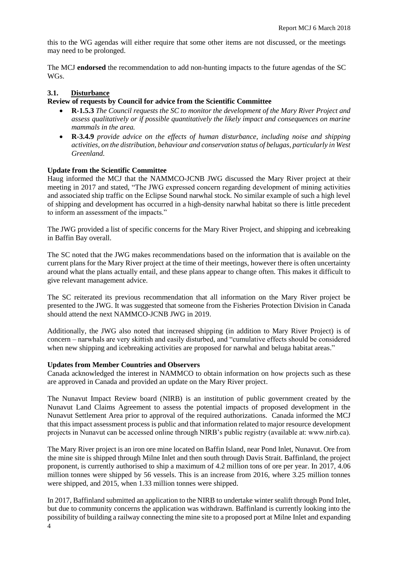this to the WG agendas will either require that some other items are not discussed, or the meetings may need to be prolonged.

The MCJ **endorsed** the recommendation to add non-hunting impacts to the future agendas of the SC WGs.

# **3.1. Disturbance**

#### **Review of requests by Council for advice from the Scientific Committee**

- **R-1.5.3** *The Council requests the SC to monitor the development of the Mary River Project and assess qualitatively or if possible quantitatively the likely impact and consequences on marine mammals in the area.*
- **R-3.4.9** *provide advice on the effects of human disturbance, including noise and shipping activities, on the distribution, behaviour and conservation status of belugas, particularly in West Greenland.*

#### **Update from the Scientific Committee**

Haug informed the MCJ that the NAMMCO-JCNB JWG discussed the Mary River project at their meeting in 2017 and stated, "The JWG expressed concern regarding development of mining activities and associated ship traffic on the Eclipse Sound narwhal stock. No similar example of such a high level of shipping and development has occurred in a high-density narwhal habitat so there is little precedent to inform an assessment of the impacts."

The JWG provided a list of specific concerns for the Mary River Project, and shipping and icebreaking in Baffin Bay overall.

The SC noted that the JWG makes recommendations based on the information that is available on the current plans for the Mary River project at the time of their meetings, however there is often uncertainty around what the plans actually entail, and these plans appear to change often. This makes it difficult to give relevant management advice.

The SC reiterated its previous recommendation that all information on the Mary River project be presented to the JWG. It was suggested that someone from the Fisheries Protection Division in Canada should attend the next NAMMCO-JCNB JWG in 2019.

Additionally, the JWG also noted that increased shipping (in addition to Mary River Project) is of concern – narwhals are very skittish and easily disturbed, and "cumulative effects should be considered when new shipping and icebreaking activities are proposed for narwhal and beluga habitat areas."

#### **Updates from Member Countries and Observers**

Canada acknowledged the interest in NAMMCO to obtain information on how projects such as these are approved in Canada and provided an update on the Mary River project.

The Nunavut Impact Review board (NIRB) is an institution of public government created by the Nunavut Land Claims Agreement to assess the potential impacts of proposed development in the Nunavut Settlement Area prior to approval of the required authorizations. Canada informed the MCJ that this impact assessment process is public and that information related to major resource development projects in Nunavut can be accessed online through NIRB's public registry (available at: www.nirb.ca).

The Mary River project is an iron ore mine located on Baffin Island, near Pond Inlet, Nunavut. Ore from the mine site is shipped through Milne Inlet and then south through Davis Strait. Baffinland, the project proponent, is currently authorised to ship a maximum of 4.2 million tons of ore per year. In 2017, 4.06 million tonnes were shipped by 56 vessels. This is an increase from 2016, where 3.25 million tonnes were shipped, and 2015, when 1.33 million tonnes were shipped.

4 In 2017, Baffinland submitted an application to the NIRB to undertake winter sealift through Pond Inlet, but due to community concerns the application was withdrawn. Baffinland is currently looking into the possibility of building a railway connecting the mine site to a proposed port at Milne Inlet and expanding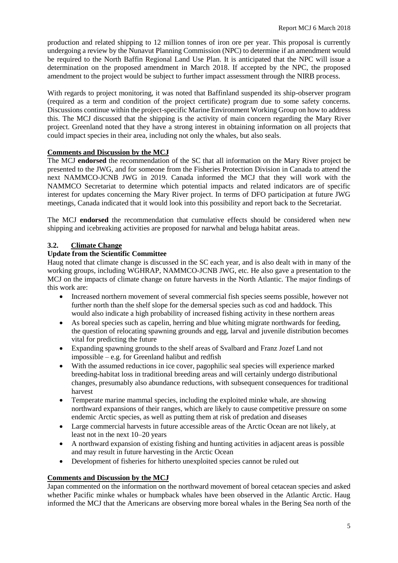production and related shipping to 12 million tonnes of iron ore per year. This proposal is currently undergoing a review by the Nunavut Planning Commission (NPC) to determine if an amendment would be required to the North Baffin Regional Land Use Plan. It is anticipated that the NPC will issue a determination on the proposed amendment in March 2018. If accepted by the NPC, the proposed amendment to the project would be subject to further impact assessment through the NIRB process.

With regards to project monitoring, it was noted that Baffinland suspended its ship-observer program (required as a term and condition of the project certificate) program due to some safety concerns. Discussions continue within the project-specific Marine Environment Working Group on how to address this. The MCJ discussed that the shipping is the activity of main concern regarding the Mary River project. Greenland noted that they have a strong interest in obtaining information on all projects that could impact species in their area, including not only the whales, but also seals.

# **Comments and Discussion by the MCJ**

The MCJ **endorsed** the recommendation of the SC that all information on the Mary River project be presented to the JWG, and for someone from the Fisheries Protection Division in Canada to attend the next NAMMCO-JCNB JWG in 2019. Canada informed the MCJ that they will work with the NAMMCO Secretariat to determine which potential impacts and related indicators are of specific interest for updates concerning the Mary River project. In terms of DFO participation at future JWG meetings, Canada indicated that it would look into this possibility and report back to the Secretariat.

The MCJ **endorsed** the recommendation that cumulative effects should be considered when new shipping and icebreaking activities are proposed for narwhal and beluga habitat areas.

# **3.2. Climate Change**

# **Update from the Scientific Committee**

Haug noted that climate change is discussed in the SC each year, and is also dealt with in many of the working groups, including WGHRAP, NAMMCO-JCNB JWG, etc. He also gave a presentation to the MCJ on the impacts of climate change on future harvests in the North Atlantic. The major findings of this work are:

- Increased northern movement of several commercial fish species seems possible, however not further north than the shelf slope for the demersal species such as cod and haddock. This would also indicate a high probability of increased fishing activity in these northern areas
- As boreal species such as capelin, herring and blue whiting migrate northwards for feeding, the question of relocating spawning grounds and egg, larval and juvenile distribution becomes vital for predicting the future
- Expanding spawning grounds to the shelf areas of Svalbard and Franz Jozef Land not impossible – e.g. for Greenland halibut and redfish
- With the assumed reductions in ice cover, pagophilic seal species will experience marked breeding-habitat loss in traditional breeding areas and will certainly undergo distributional changes, presumably also abundance reductions, with subsequent consequences for traditional harvest
- Temperate marine mammal species, including the exploited minke whale, are showing northward expansions of their ranges, which are likely to cause competitive pressure on some endemic Arctic species, as well as putting them at risk of predation and diseases
- Large commercial harvests in future accessible areas of the Arctic Ocean are not likely, at least not in the next 10–20 years
- A northward expansion of existing fishing and hunting activities in adjacent areas is possible and may result in future harvesting in the Arctic Ocean
- Development of fisheries for hitherto unexploited species cannot be ruled out

#### **Comments and Discussion by the MCJ**

Japan commented on the information on the northward movement of boreal cetacean species and asked whether Pacific minke whales or humpback whales have been observed in the Atlantic Arctic. Haug informed the MCJ that the Americans are observing more boreal whales in the Bering Sea north of the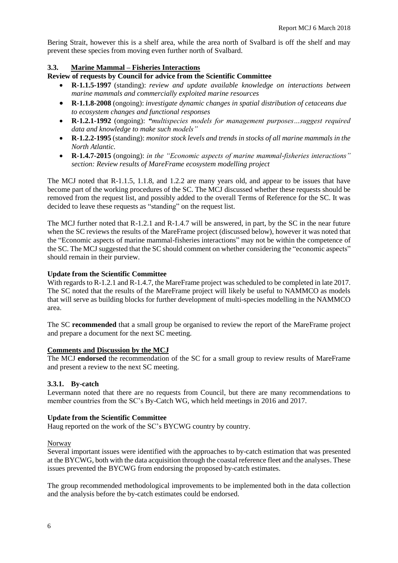Bering Strait, however this is a shelf area, while the area north of Svalbard is off the shelf and may prevent these species from moving even further north of Svalbard.

# **3.3. Marine Mammal – Fisheries Interactions**

**Review of requests by Council for advice from the Scientific Committee**

- **R-1.1.5-1997** (standing): *review and update available knowledge on interactions between marine mammals and commercially exploited marine resources*
- **R-1.1.8-2008** (ongoing): *investigate dynamic changes in spatial distribution of cetaceans due to ecosystem changes and functional responses*
- **R-1.2.1-1992** (ongoing): *"multispecies models for management purposes…suggest required data and knowledge to make such models"*
- **R-1.2.2-1995** (standing): *monitor stock levels and trends in stocks of all marine mammals in the North Atlantic.*
- **R-1.4.7-2015** (ongoing): *in the "Economic aspects of marine mammal-fisheries interactions" section: Review results of MareFrame ecosystem modelling project*

The MCJ noted that R-1.1.5, 1.1.8, and 1.2.2 are many years old, and appear to be issues that have become part of the working procedures of the SC. The MCJ discussed whether these requests should be removed from the request list, and possibly added to the overall Terms of Reference for the SC. It was decided to leave these requests as "standing" on the request list.

The MCJ further noted that R-1.2.1 and R-1.4.7 will be answered, in part, by the SC in the near future when the SC reviews the results of the MareFrame project (discussed below), however it was noted that the "Economic aspects of marine mammal-fisheries interactions" may not be within the competence of the SC. The MCJ suggested that the SC should comment on whether considering the "economic aspects" should remain in their purview.

# **Update from the Scientific Committee**

With regards to R-1.2.1 and R-1.4.7, the MareFrame project was scheduled to be completed in late 2017. The SC noted that the results of the MareFrame project will likely be useful to NAMMCO as models that will serve as building blocks for further development of multi-species modelling in the NAMMCO area.

The SC **recommended** that a small group be organised to review the report of the MareFrame project and prepare a document for the next SC meeting.

#### **Comments and Discussion by the MCJ**

The MCJ **endorsed** the recommendation of the SC for a small group to review results of MareFrame and present a review to the next SC meeting.

#### **3.3.1. By-catch**

Levermann noted that there are no requests from Council, but there are many recommendations to member countries from the SC's By-Catch WG, which held meetings in 2016 and 2017.

#### **Update from the Scientific Committee**

Haug reported on the work of the SC's BYCWG country by country.

Norway

Several important issues were identified with the approaches to by-catch estimation that was presented at the BYCWG, both with the data acquisition through the coastal reference fleet and the analyses. These issues prevented the BYCWG from endorsing the proposed by-catch estimates.

The group recommended methodological improvements to be implemented both in the data collection and the analysis before the by-catch estimates could be endorsed.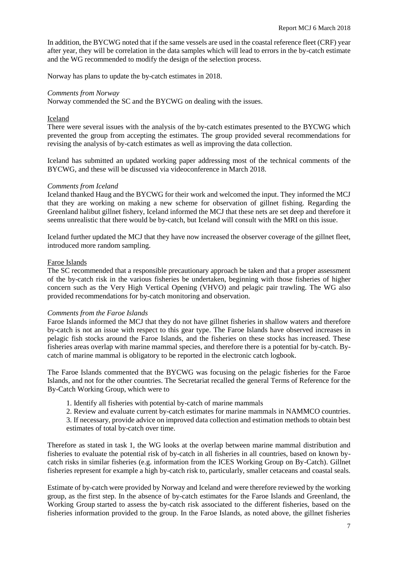In addition, the BYCWG noted that if the same vessels are used in the coastal reference fleet (CRF) year after year, they will be correlation in the data samples which will lead to errors in the by-catch estimate and the WG recommended to modify the design of the selection process.

Norway has plans to update the by-catch estimates in 2018.

#### *Comments from Norway*

Norway commended the SC and the BYCWG on dealing with the issues.

#### Iceland

There were several issues with the analysis of the by-catch estimates presented to the BYCWG which prevented the group from accepting the estimates. The group provided several recommendations for revising the analysis of by-catch estimates as well as improving the data collection.

Iceland has submitted an updated working paper addressing most of the technical comments of the BYCWG, and these will be discussed via videoconference in March 2018.

#### *Comments from Iceland*

Iceland thanked Haug and the BYCWG for their work and welcomed the input. They informed the MCJ that they are working on making a new scheme for observation of gillnet fishing. Regarding the Greenland halibut gillnet fishery, Iceland informed the MCJ that these nets are set deep and therefore it seems unrealistic that there would be by-catch, but Iceland will consult with the MRI on this issue.

Iceland further updated the MCJ that they have now increased the observer coverage of the gillnet fleet, introduced more random sampling.

#### Faroe Islands

The SC recommended that a responsible precautionary approach be taken and that a proper assessment of the by-catch risk in the various fisheries be undertaken, beginning with those fisheries of higher concern such as the Very High Vertical Opening (VHVO) and pelagic pair trawling. The WG also provided recommendations for by-catch monitoring and observation.

#### *Comments from the Faroe Islands*

Faroe Islands informed the MCJ that they do not have gillnet fisheries in shallow waters and therefore by-catch is not an issue with respect to this gear type. The Faroe Islands have observed increases in pelagic fish stocks around the Faroe Islands, and the fisheries on these stocks has increased. These fisheries areas overlap with marine mammal species, and therefore there is a potential for by-catch. Bycatch of marine mammal is obligatory to be reported in the electronic catch logbook.

The Faroe Islands commented that the BYCWG was focusing on the pelagic fisheries for the Faroe Islands, and not for the other countries. The Secretariat recalled the general Terms of Reference for the By-Catch Working Group, which were to

- 1. Identify all fisheries with potential by-catch of marine mammals
- 2. Review and evaluate current by-catch estimates for marine mammals in NAMMCO countries.
- 3. If necessary, provide advice on improved data collection and estimation methods to obtain best estimates of total by-catch over time.

Therefore as stated in task 1, the WG looks at the overlap between marine mammal distribution and fisheries to evaluate the potential risk of by-catch in all fisheries in all countries, based on known bycatch risks in similar fisheries (e.g. information from the ICES Working Group on By-Catch). Gillnet fisheries represent for example a high by-catch risk to, particularly, smaller cetaceans and coastal seals.

Estimate of by-catch were provided by Norway and Iceland and were therefore reviewed by the working group, as the first step. In the absence of by-catch estimates for the Faroe Islands and Greenland, the Working Group started to assess the by-catch risk associated to the different fisheries, based on the fisheries information provided to the group. In the Faroe Islands, as noted above, the gillnet fisheries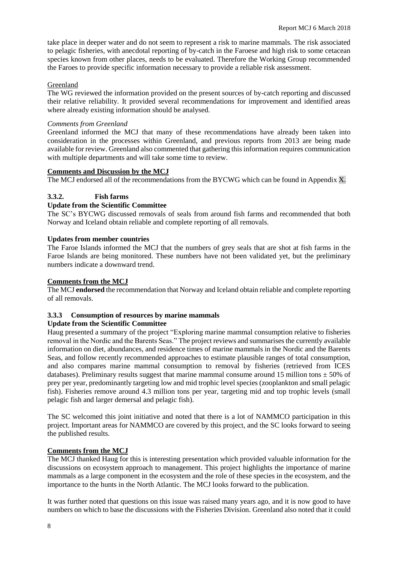take place in deeper water and do not seem to represent a risk to marine mammals. The risk associated to pelagic fisheries, with anecdotal reporting of by-catch in the Faroese and high risk to some cetacean species known from other places, needs to be evaluated. Therefore the Working Group recommended the Faroes to provide specific information necessary to provide a reliable risk assessment.

# Greenland

The WG reviewed the information provided on the present sources of by-catch reporting and discussed their relative reliability. It provided several recommendations for improvement and identified areas where already existing information should be analysed.

#### *Comments from Greenland*

Greenland informed the MCJ that many of these recommendations have already been taken into consideration in the processes within Greenland, and previous reports from 2013 are being made available for review. Greenland also commented that gathering this information requires communication with multiple departments and will take some time to review.

# **Comments and Discussion by the MCJ**

The MCJ endorsed all of the recommendations from the BYCWG which can be found in Appendix X.

# **3.3.2. Fish farms**

# **Update from the Scientific Committee**

The SC's BYCWG discussed removals of seals from around fish farms and recommended that both Norway and Iceland obtain reliable and complete reporting of all removals.

# **Updates from member countries**

The Faroe Islands informed the MCJ that the numbers of grey seals that are shot at fish farms in the Faroe Islands are being monitored. These numbers have not been validated yet, but the preliminary numbers indicate a downward trend.

# **Comments from the MCJ**

The MCJ **endorsed** the recommendation that Norway and Iceland obtain reliable and complete reporting of all removals.

# **3.3.3 Consumption of resources by marine mammals**

#### **Update from the Scientific Committee**

Haug presented a summary of the project "Exploring marine mammal consumption relative to fisheries removal in the Nordic and the Barents Seas." The project reviews and summarises the currently available information on diet, abundances, and residence times of marine mammals in the Nordic and the Barents Seas, and follow recently recommended approaches to estimate plausible ranges of total consumption, and also compares marine mammal consumption to removal by fisheries (retrieved from ICES databases). Preliminary results suggest that marine mammal consume around 15 million tons  $\pm$  50% of prey per year, predominantly targeting low and mid trophic level species (zooplankton and small pelagic fish). Fisheries remove around 4.3 million tons per year, targeting mid and top trophic levels (small pelagic fish and larger demersal and pelagic fish).

The SC welcomed this joint initiative and noted that there is a lot of NAMMCO participation in this project. Important areas for NAMMCO are covered by this project, and the SC looks forward to seeing the published results.

#### **Comments from the MCJ**

The MCJ thanked Haug for this is interesting presentation which provided valuable information for the discussions on ecosystem approach to management. This project highlights the importance of marine mammals as a large component in the ecosystem and the role of these species in the ecosystem, and the importance to the hunts in the North Atlantic. The MCJ looks forward to the publication.

It was further noted that questions on this issue was raised many years ago, and it is now good to have numbers on which to base the discussions with the Fisheries Division. Greenland also noted that it could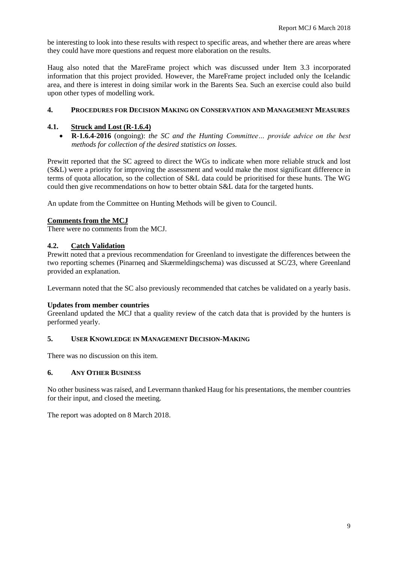be interesting to look into these results with respect to specific areas, and whether there are areas where they could have more questions and request more elaboration on the results.

Haug also noted that the MareFrame project which was discussed under Item 3.3 incorporated information that this project provided. However, the MareFrame project included only the Icelandic area, and there is interest in doing similar work in the Barents Sea. Such an exercise could also build upon other types of modelling work.

# **4. PROCEDURES FOR DECISION MAKING ON CONSERVATION AND MANAGEMENT MEASURES**

# **4.1. Struck and Lost (R-1.6.4)**

• **R-1.6.4***-***2016** (ongoing): *the SC and the Hunting Committee… provide advice on the best methods for collection of the desired statistics on losses.*

Prewitt reported that the SC agreed to direct the WGs to indicate when more reliable struck and lost (S&L) were a priority for improving the assessment and would make the most significant difference in terms of quota allocation, so the collection of S&L data could be prioritised for these hunts. The WG could then give recommendations on how to better obtain S&L data for the targeted hunts.

An update from the Committee on Hunting Methods will be given to Council.

# **Comments from the MCJ**

There were no comments from the MCJ.

# **4.2. Catch Validation**

Prewitt noted that a previous recommendation for Greenland to investigate the differences between the two reporting schemes (Pinarneq and Skærmeldingschema) was discussed at SC/23, where Greenland provided an explanation.

Levermann noted that the SC also previously recommended that catches be validated on a yearly basis.

# **Updates from member countries**

Greenland updated the MCJ that a quality review of the catch data that is provided by the hunters is performed yearly.

# **5. USER KNOWLEDGE IN MANAGEMENT DECISION-MAKING**

There was no discussion on this item.

# **6. ANY OTHER BUSINESS**

No other business was raised, and Levermann thanked Haug for his presentations, the member countries for their input, and closed the meeting.

The report was adopted on 8 March 2018.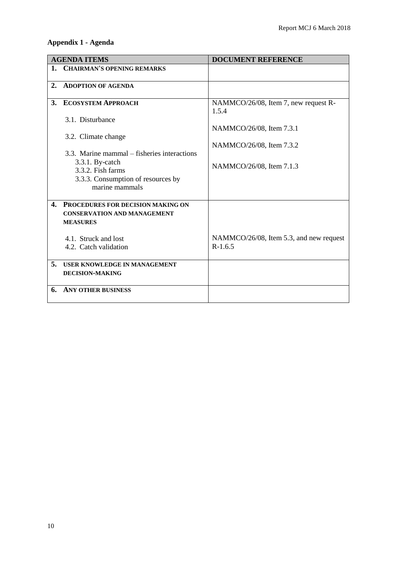# **Appendix 1 - Agenda**

| <b>AGENDA ITEMS</b> |                                             | <b>DOCUMENT REFERENCE</b>                     |
|---------------------|---------------------------------------------|-----------------------------------------------|
|                     | 1. CHAIRMAN'S OPENING REMARKS               |                                               |
| 2.                  | <b>ADOPTION OF AGENDA</b>                   |                                               |
| 3.                  | <b>ECOSYSTEM APPROACH</b>                   | NAMMCO/26/08, Item 7, new request R-<br>1.5.4 |
|                     | 3.1. Disturbance                            |                                               |
|                     |                                             | NAMMCO/26/08, Item 7.3.1                      |
|                     | 3.2. Climate change                         |                                               |
|                     |                                             | NAMMCO/26/08, Item 7.3.2                      |
|                     | 3.3. Marine mammal – fisheries interactions |                                               |
|                     | $3.3.1.$ By-catch<br>3.3.2. Fish farms      | NAMMCO/26/08, Item 7.1.3                      |
|                     | 3.3.3. Consumption of resources by          |                                               |
|                     | marine mammals                              |                                               |
|                     |                                             |                                               |
| 4.                  | PROCEDURES FOR DECISION MAKING ON           |                                               |
|                     | <b>CONSERVATION AND MANAGEMENT</b>          |                                               |
|                     | <b>MEASURES</b>                             |                                               |
|                     | 4.1. Struck and lost                        | NAMMCO/26/08, Item 5.3, and new request       |
|                     | 4.2. Catch validation                       | $R-1.6.5$                                     |
|                     |                                             |                                               |
| 5.                  | <b>USER KNOWLEDGE IN MANAGEMENT</b>         |                                               |
|                     | <b>DECISION-MAKING</b>                      |                                               |
|                     |                                             |                                               |
| 6.                  | <b>ANY OTHER BUSINESS</b>                   |                                               |
|                     |                                             |                                               |